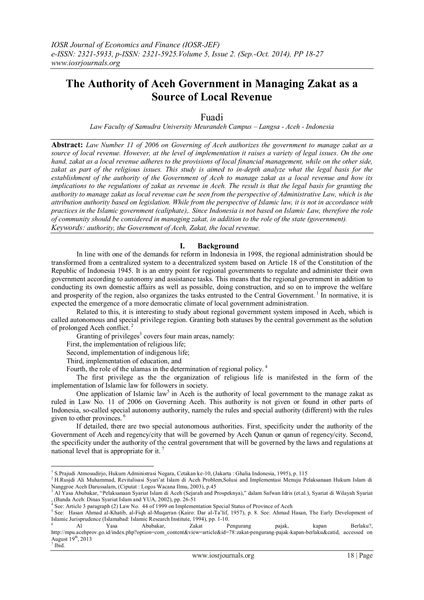# **The Authority of Aceh Government in Managing Zakat as a Source of Local Revenue**

# Fuadi

*Law Faculty of Samudra University Meurandeh Campus – Langsa - Aceh - Indonesia*

**Abstract:** *Law Number 11 of 2006 on Governing of Aceh authorizes the government to manage zakat as a source of local revenue. However, at the level of implementation it raises a variety of legal issues. On the one hand, zakat as a local revenue adheres to the provisions of local financial management, while on the other side, zakat as part of the religious issues. This study is aimed to in-depth analyze what the legal basis for the establishment of the authority of the Government of Aceh to manage zakat as a local revenue and how its implications to the regulations of zakat as revenue in Aceh. The result is that the legal basis for granting the authority to manage zakat as local revenue can be seen from the perspective of Administrative Law, which is the attribution authority based on legislation. While from the perspective of Islamic law, it is not in accordance with practices in the Islamic government (caliphate),. Since Indonesia is not based on Islamic Law, therefore the role of community should be considered in managing zakat, in addition to the role of the state (government). Keywords: authority, the Government of Aceh, Zakat, the local revenue.*

# **I. Background**

In line with one of the demands for reform in Indonesia in 1998, the regional administration should be transformed from a centralized system to a decentralized system based on Article 18 of the Constitution of the Republic of Indonesia 1945. It is an entry point for regional governments to regulate and administer their own government according to autonomy and assistance tasks. This means that the regional government in addition to conducting its own domestic affairs as well as possible, doing construction, and so on to improve the welfare and prosperity of the region, also organizes the tasks entrusted to the Central Government.<sup>1</sup> In normative, it is expected the emergence of a more democratic climate of local government administration.

Related to this, it is interesting to study about regional government system imposed in Aceh, which is called autonomous and special privilege region. Granting both statuses by the central government as the solution of prolonged Aceh conflict.<sup>2</sup>

Granting of privileges $3$  covers four main areas, namely:

First, the implementation of religious life;

Second, implementation of indigenous life;

Third, implementation of education, and

Fourth, the role of the ulamas in the determination of regional policy. <sup>4</sup>

The first privilege as the the organization of religious life is manifested in the form of the implementation of Islamic law for followers in society.

One application of Islamic law<sup>5</sup> in Aceh is the authority of local government to the manage zakat as ruled in Law No. 11 of 2006 on Governing Aceh. This authority is not given or found in other parts of Indonesia, so-called special autonomy authority, namely the rules and special authority (different) with the rules given to other provinces. <sup>6</sup>

If detailed, there are two special autonomous authorities. First, specificity under the authority of the Government of Aceh and regency/city that will be governed by Aceh Qanun or qanun of regency/city. Second, the specificity under the authority of the central government that will be governed by the laws and regulations at national level that is appropriate for it. <sup>7</sup>

 1 S.Prajudi Atmosudirjo, Hukum Administrasi Negara, Cetakan ke-10, (Jakarta : Ghalia Indonesia, 1995), p. 115

<sup>2</sup> H.Rusjdi Ali Muhammad, Revitalisasi Syari"at Islam di Aceh Problem,Solusi and Implementasi Menuju Pelaksanaan Hukum Islam di Nanggroe Aceh Darussalam, (Ciputat : Logos Wacana Ilmu, 2003), p.45

<sup>3</sup> Al Yasa Abubakar, "Pelaksanaan Syariat Islam di Aceh (Sejarah and Prospeknya)," dalam Safwan Idris (et.al.), Syariat di Wilayah Syariat

<sup>, (</sup>Banda Aceh: Dinas Syariat Islam and YUA, 2002), pp. 26-51 4 See: Article 3 paragraph (2) Law No. 44 of 1999 on Implementation Special Status of Province of Aceh

<sup>&</sup>lt;sup>5</sup> See: Hasan Ahmad al-Khatib, al-Fiqh al-Muqarran (Kairo: Dar al-Ta'lif, 1957), p. 8. See: Ahmad Hasan, The Early Development of Islamic Jurisprudence (Islamabad: Islamic Research Institute, 1994), pp. 1-10.

<sup>6</sup> Al Yasa Abubakar, Zakat Pengurang pajak, kapan Berlaku?, [http://mpu.acehprov.go.id/index.php?option=com\\_content&view=article&id=78:zakat-pengurang-pajak-kapan-berlaku&catid,](http://mpu.acehprov.go.id/index.php?option=com_content&view=article&id=78:zakat-pengurang-pajak-kapan-berlaku&catid) accessed on August 19<sup>th</sup>, 2013 7 Ibid.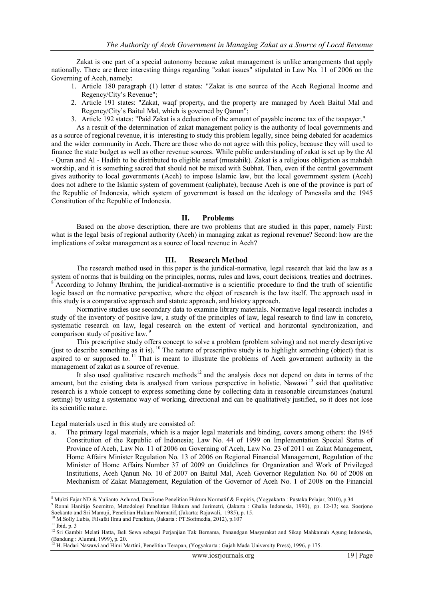Zakat is one part of a special autonomy because zakat management is unlike arrangements that apply nationally. There are three interesting things regarding "zakat issues" stipulated in Law No. 11 of 2006 on the Governing of Aceh, namely:

- 1. Article 180 paragraph (1) letter d states: "Zakat is one source of the Aceh Regional Income and Regency/City"s Revenue";
- 2. Article 191 states: "Zakat, waqf property, and the property are managed by Aceh Baitul Mal and Regency/City"s Baitul Mal, which is governed by Qanun";
- 3. Article 192 states: "Paid Zakat is a deduction of the amount of payable income tax of the taxpayer."

As a result of the determination of zakat management policy is the authority of local governments and as a source of regional revenue, it is interesting to study this problem legally, since being debated for academics and the wider community in Aceh. There are those who do not agree with this policy, because they will used to finance the state budget as well as other revenue sources. While public understanding of zakat is set up by the Al - Quran and Al - Hadith to be distributed to eligible asnaf (mustahik). Zakat is a religious obligation as mahdah worship, and it is something sacred that should not be mixed with Subhat. Then, even if the central government gives authority to local governments (Aceh) to impose Islamic law, but the local government system (Aceh) does not adhere to the Islamic system of government (caliphate), because Aceh is one of the province is part of the Republic of Indonesia, which system of government is based on the ideology of Pancasila and the 1945 Constitution of the Republic of Indonesia.

#### **II. Problems**

Based on the above description, there are two problems that are studied in this paper, namely First: what is the legal basis of regional authority (Aceh) in managing zakat as regional revenue? Second: how are the implications of zakat management as a source of local revenue in Aceh?

#### **III. Research Method**

The research method used in this paper is the juridical-normative, legal research that laid the law as a system of norms that is building on the principles, norms, rules and laws, court decisions, treaties and doctrines. According to Johnny Ibrahim, the juridical-normative is a scientific procedure to find the truth of scientific logic based on the normative perspective, where the object of research is the law itself. The approach used in this study is a comparative approach and statute approach, and history approach.

Normative studies use secondary data to examine library materials. Normative legal research includes a study of the inventory of positive law, a study of the principles of law, legal research to find law in concreto, systematic research on law, legal research on the extent of vertical and horizontal synchronization, and comparison study of positive law.

This prescriptive study offers concept to solve a problem (problem solving) and not merely descriptive (just to describe something as it is). <sup>10</sup> The nature of prescriptive study is to highlight something (object) that is aspired to or supposed to.<sup>11</sup> That is meant to illustrate the problems of Aceh government authority in the management of zakat as a source of revenue.

It also used qualitative research methods<sup>12</sup> and the analysis does not depend on data in terms of the amount, but the existing data is analysed from various perspective in holistic. Nawawi <sup>13</sup> said that qualitative research is a whole concept to express something done by collecting data in reasonable circumstances (natural setting) by using a systematic way of working, directional and can be qualitatively justified, so it does not lose its scientific nature.

Legal materials used in this study are consisted of:

a. The primary legal materials, which is a major legal materials and binding, covers among others: the 1945 Constitution of the Republic of Indonesia; Law No. 44 of 1999 on Implementation Special Status of Province of Aceh, Law No. 11 of 2006 on Governing of Aceh, Law No. 23 of 2011 on Zakat Management, Home Affairs Minister Regulation No. 13 of 2006 on Regional Financial Management, Regulation of the Minister of Home Affairs Number 37 of 2009 on Guidelines for Organization and Work of Privileged Institutions, Aceh Qanun No. 10 of 2007 on Baitul Mal, Aceh Governor Regulation No. 60 of 2008 on Mechanism of Zakat Management, Regulation of the Governor of Aceh No. 1 of 2008 on the Financial

<sup>&</sup>lt;sup>8</sup> Mukti Fajar ND & Yulianto Achmad, Dualisme Penelitian Hukum Normatif & Empiris, (Yogyakarta : Pustaka Pelajar, 2010), p.34

<sup>9</sup> Ronni Hanitijo Soemitro, Metodologi Penelitian Hukum and Jurimetri, (Jakarta : Ghalia Indonesia, 1990), pp. 12-13; see. Soerjono Soekanto and Sri Mamuji, Penelitian Hukum Normatif, (Jakarta: Rajawali, 1985), p. 15.

<sup>&</sup>lt;sup>10</sup> M.Solly Lubis, Filsafat Ilmu and Peneltian, (Jakarta : PT.Softmedia, 2012), p.107

 $11$  Ibid, p. 3

<sup>&</sup>lt;sup>12</sup> Sri Gambir Melati Hatta, Beli Sewa sebagai Perjanjian Tak Bernama, Panandgan Masyarakat and Sikap Mahkamah Agung Indonesia, (Bandung : Alumni, 1999), p. 20.

<sup>13</sup> H. Hadari Nawawi and Himi Martini, Penelitian Terapan, (Yogyakarta : Gajah Mada University Press), 1996, p 175.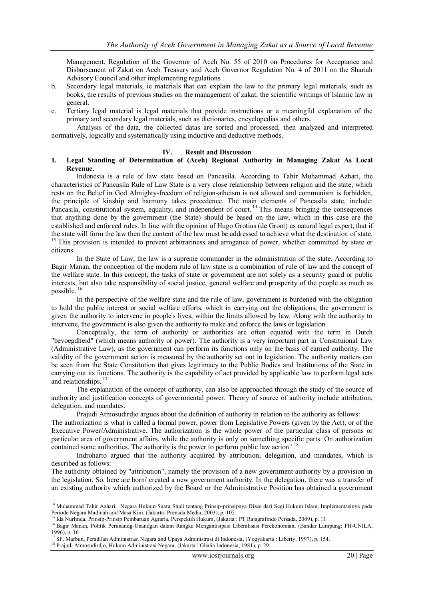Management, Regulation of the Governor of Aceh No. 55 of 2010 on Procedures for Acceptance and Disbursement of Zakat on Aceh Treasury and Aceh Governor Regulation No. 4 of 2011 on the Shariah Advisory Council and other implementing regulations .

- b. Secondary legal materials, ie materials that can explain the law to the primary legal materials, such as books, the results of previous studies on the management of zakat, the scientific writings of Islamic law in general.
- c. Tertiary legal material is legal materials that provide instructions or a meaningful explanation of the primary and secondary legal materials, such as dictionaries, encyclopedias and others.

Analysis of the data, the collected datas are sorted and processed, then analyzed and interpreted normatively, logically and systematically using inductive and deductive methods.

#### **IV. Result and Discussion**

### **1. Legal Standing of Determination of (Aceh) Regional Authority in Managing Zakat As Local Revenue.**

Indonesia is a rule of law state based on Pancasila. According to Tahir Muhammad Azhari, the characteristics of Pancasila Rule of Law State is a very close relationship between religion and the state, which rests on the Belief in God Almighty-freedom of religion-atheism is not allowed and communism is forbidden, the principle of kinship and harmony takes precedence. The main elements of Pancasila state, include: Pancasila, constitutional system, equality, and independent of court.<sup>14</sup> This means bringing the consequences that anything done by the government (the State) should be based on the law, which in this case are the established and enforced rules. In line with the opinion of Hugo Grotius (de Groot) as natural legal expert, that if the state will form the law then the content of the law must be addressed to achieve what the destination of state. <sup>15</sup> This provision is intended to prevent arbitrariness and arrogance of power, whether committed by state or citizens.

In the State of Law, the law is a supreme commander in the administration of the state. According to Bagir Manan, the conception of the modern rule of law state is a combination of rule of law and the concept of the welfare state. In this concept, the tasks of state or government are not solely as a security guard or public interests, but also take responsibility of social justice, general welfare and prosperity of the people as much as possible.<sup>16</sup>

In the perspective of the welfare state and the rule of law, government is burdened with the obligation to hold the public interest or social welfare efforts, which in carrying out the obligations, the government is given the authority to intervene in people's lives, within the limits allowed by law. Along with the authority to intervene, the government is also given the authority to make and enforce the laws or legislation.

Conceptually, the term of authority or authorities are often equated with the term in Dutch "bevoegdheid" (which means authority or power). The authority is a very important part in Constituional Law (Administrative Law), as the government can perform its functions only on the basis of earned authority. The validity of the government action is measured by the authority set out in legislation. The authority matters can be seen from the State Constitution that gives legitimacy to the Public Bodies and Institutions of the State in carrying out its functions. The authority is the capability of act provided by applicable law to perform legal acts and relationships.<sup>1</sup>

The explanation of the concept of authority, can also be approached through the study of the source of authority and justification concepts of governmental power. Theory of source of authority include attribution, delegation, and mandates.

Prajudi Atmosudirdjo argues about the definition of authority in relation to the authority as follows:

The authorization is what is called a formal power, power from Legislative Powers (given by the Act), or of the Executive Power/Administrative. The authorization is the whole power of the particular class of persons or particular area of government affairs, while the authority is only on something specific parts. On authorization contained some authorities. The authority is the power to perform public law action".<sup>18</sup>

Indroharto argued that the authority acquired by attribution, delegation, and mandates, which is described as follows:

The authority obtained by "attribution", namely the provision of a new government authority by a provision in the legislation. So, here are born/ created a new government authority. In the delegation, there was a transfer of an existing authority which authorized by the Board or the Administrative Position has obtained a government

<sup>&</sup>lt;sup>14</sup> Muhammad Tahir Azhari, Negara Hukum Suatu Studi tentang Prinsip-prinsipnya Disee dari Segi Hukum Islam, Implementasinya pada Periode Negara Madinah and Masa Kini, (Jakarta: Prenada Media, 2003), p. 102

<sup>15</sup> Ida Nurlinda, Prinsip-Prinsip Pembaruan Agraria, Perspektih Hukum, (Jakarta : PT Rajagrafindo Persada, 2009), p. 11

<sup>16</sup> Bagir Manan, Politik Perunandg-Unandgan dalam Rangka Mengantisipasi Liberalisasi Perekonomian, (Bandar Lampung: FH-UNILA, 1996), p. 16 <sup>17</sup> SF. Marbun, Peradilan Administrasi Negara and Upaya Administrasi di Indonesia, (Yogyakarta : Liberty, 1997), p. 154.

<sup>&</sup>lt;sup>18</sup> Prajudi Atmosudirdjo, Hukum Administrasi Negara, (Jakarta : Ghalia Indonesia, 1981), p. 29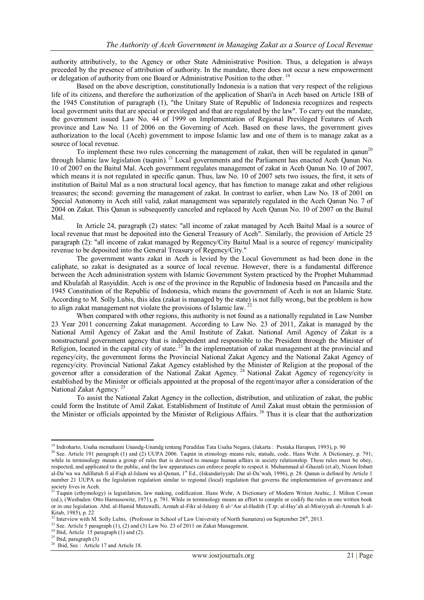authority attributively, to the Agency or other State Administrative Position. Thus, a delegation is always preceded by the presence of attribution of authority. In the mandate, there does not occur a new empowerment or delegation of authority from one Board or Administrative Position to the other.<sup>19</sup>

Based on the above description, constitutionally Indonesia is a nation that very respect of the religious life of its citizens, and therefore the authorization of the application of Shari'a in Aceh based on Article 18B of the 1945 Constitution of paragraph (1), "the Unitary State of Republic of Indonesia recognizes and respects local goverment units that are special or previleged and that are regulated by the law". To carry out the mandate, the government issued Law No. 44 of 1999 on Implementation of Regional Previleged Features of Aceh province and Law No. 11 of 2006 on the Governing of Aceh. Based on these laws, the government gives authorization to the local (Aceh) government to impose Islamic law and one of them is to manage zakat as a source of local revenue.

To implement these two rules concerning the management of zakat, then will be regulated in qanun<sup>20</sup> through Islamic law legislation (taqnin). <sup>21</sup> Local governments and the Parliament has enacted Aceh Qanun No. 10 of 2007 on the Baitul Mal. Aceh government regulates management of zakat in Aceh Qanun No. 10 of 2007, which means it is not regulated in specific qanun. Thus, law No. 10 of 2007 sets two issues, the first, it sets of institution of Baitul Mal as a non structural local agency, that has function to manage zakat and other religious treasures; the second: governing the management of zakat. In contrast to earlier, when Law No. 18 of 2001 on Special Autonomy in Aceh still valid, zakat management was separately regulated in the Aceh Qanun No. 7 of 2004 on Zakat. This Qanun is subsequently canceled and replaced by Aceh Qanun No. 10 of 2007 on the Baitul Mal.

In Article 24, paragraph (2) states: "all income of zakat managed by Aceh Baitul Maal is a source of local revenue that must be deposited into the General Treasury of Aceh". Similarly, the provision of Article 25 paragraph (2): "all income of zakat managed by Regency/City Baitul Maal is a source of regency/ municipality revenue to be deposited into the General Treasury of Regency/City."

The government wants zakat in Aceh is levied by the Local Government as had been done in the caliphate, so zakat is designated as a source of local revenue. However, there is a fundamental difference between the Aceh administration system with Islamic Government System practiced by the Prophet Muhammad and Khulafah al Rasyiddin. Aceh is one of the province in the Republic of Indonesia based on Pancasila and the 1945 Constitution of the Republic of Indonesia, which means the government of Aceh is not an Islamic State. According to M. Solly Lubis, this idea (zakat is managed by the state) is not fully wrong, but the problem is how to align zakat management not violate the provisions of Islamic law.<sup>22</sup>

When compared with other regions, this authority is not found as a nationally regulated in Law Number 23 Year 2011 concerning Zakat management. According to Law No. 23 of 2011, Zakat is managed by the National Amil Agency of Zakat and the Amil Institute of Zakat. National Amil Agency of Zakat is a nonstructural government agency that is independent and responsible to the President through the Minister of Religion, located in the capital city of state.<sup>23</sup> In the implementation of zakat management at the provincial and regency/city, the government forms the Provincial National Zakat Agency and the National Zakat Agency of regency/city. Provincial National Zakat Agency established by the Minister of Religion at the proposal of the governor after a consideration of the National Zakat Agency.<sup>24</sup> National Zakat Agency of regency/city is established by the Minister or officials appointed at the proposal of the regent/mayor after a consideration of the National Zakat Agency. <sup>25</sup>

To assist the National Zakat Agency in the collection, distribution, and utilization of zakat, the public could form the Institute of Amil Zakat. Establishment of Institute of Amil Zakat must obtain the permission of the Minister or officials appointed by the Minister of Religious Affairs.<sup>26</sup> Thus it is clear that the authorization

<sup>23</sup> See. Article 5 paragraph (1), (2) and (3) Law No. 23 of 2011 on Zakat Management.

<sup>19</sup> Indroharto, Usaha memahami Unandg-Unandg tentang Peradilan Tata Usaha Negara, (Jakarta : Pustaka Harapan, 1993), p. 90

<sup>&</sup>lt;sup>20</sup> See. Article 191 paragraph (1) and (2) UUPA 2006. Taqnin in etimology means rule, statude, code.. Hans Wehr. A Dictionary, p. 791; while in terminology means a group of rules that is devised to manage human affairs in society relationship. These rules must be obey, respected, and applicated to the public, and the law apparatuses can enforce people to respect it. Muhammad al-Ghazali (et.al), Nizam Itsbatt al-Da'wa wa Adillatuh fi al-Fiqh al-Islami wa al-Qanun, 1<sup>st</sup> Ed., (Iskandariyyah: Dar al-Da'wah, 1996), p. 28. Qanun is defined by Article 1 number 21 UUPA as the legislation regulation similar to regional (local) regulation that governs the implementation of governance and society lives in Aceh.

<sup>21</sup> Taqnin (ethymology) is legistilation, law making, codification. Hans Wehr, A Dictionary of Modern Writen Arabic, J. Milton Cowan (ed.), (Wesbaden: Otto Harrassowitz, 1971), p. 791. While in terminology means an effort to compile or codify the rules in one written book or in one legislation. Abd. al-Hamid Mutawalli, Azmah al-Fikr al-Islamy fi al-"Asr al-Hadith (T.tp: al-Hay"ah al-Misriyyah al-Ammah li al-Kitab, 1985), p. 22

<sup>&</sup>lt;sup>22</sup> Interview with M. Solly Lubis, (Professor in School of Law University of North Sumatera) on September  $28<sup>th</sup>$ , 2013.

 $^{24}$  Ibid, Article 15 paragraph (1) and (2).

 $25$  Ibid, paragraph  $(3)$ 

Ibid, See : Article 17 and Article 18.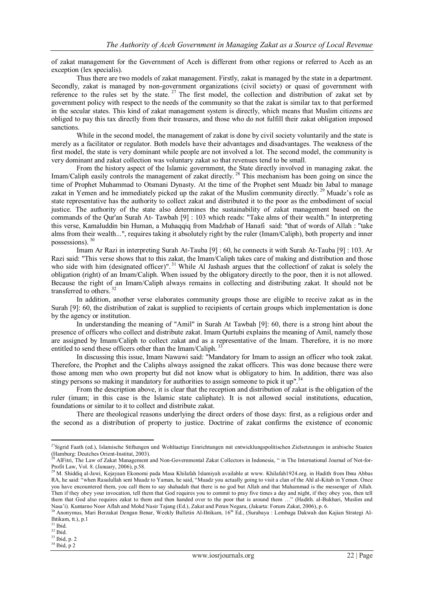of zakat management for the Government of Aceh is different from other regions or referred to Aceh as an exception (lex specialis).

Thus there are two models of zakat management. Firstly, zakat is managed by the state in a department. Secondly, zakat is managed by non-government organizations (civil society) or quasi of government with reference to the rules set by the state.  $27$  The first model, the collection and distribution of zakat set by government policy with respect to the needs of the community so that the zakat is similar tax to that performed in the secular states. This kind of zakat management system is directly, which means that Muslim citizens are obliged to pay this tax directly from their treasures, and those who do not fulfill their zakat obligation imposed sanctions.

While in the second model, the management of zakat is done by civil society voluntarily and the state is merely as a facilitator or regulator. Both models have their advantages and disadvantages. The weakness of the first model, the state is very dominant while people are not involved a lot. The second model, the community is very dominant and zakat collection was voluntary zakat so that revenues tend to be small.

From the history aspect of the Islamic government, the State directly involved in managing zakat. the Imam/Caliph easily controls the management of zakat directly.<sup>28</sup> This mechanism has been going on since the time of Prophet Muhammad to Otsmani Dynasty. At the time of the Prophet sent Muadz bin Jabal to manage zakat in Yemen and he immediately picked up the zakat of the Muslim community directly.<sup>29</sup> Muadz's role as state representative has the authority to collect zakat and distributed it to the poor as the embodiment of social justice. The authority of the state also determines the sustainability of zakat management based on the commands of the Qur'an Surah At- Tawbah [9] : 103 which reads: "Take alms of their wealth." In interpreting this verse, Kamaluddin bin Human, a Muhaqqiq from Madzhab of Hanafi said: "that of words of Allah : "take alms from their wealth...", requires taking it absolutely right by the ruler (Imam/Caliph), both property and inner possessions). <sup>30</sup>

Imam Ar Razi in interpreting Surah At-Tauba [9] : 60, he connects it with Surah At-Tauba [9] : 103. Ar Razi said: "This verse shows that to this zakat, the Imam/Caliph takes care of making and distribution and those who side with him (designated officer)".<sup>31</sup> While Al Jashash argues that the collectionf of zakat is solely the obligation (right) of an Imam/Caliph. When issued by the obligatory directly to the poor, then it is not allowed. Because the right of an Imam/Caliph always remains in collecting and distributing zakat. It should not be transferred to others.<sup>32</sup>

In addition, another verse elaborates community groups those are eligible to receive zakat as in the Surah [9]: 60, the distribution of zakat is supplied to recipients of certain groups which implementation is done by the agency or institution.

In understanding the meaning of "Amil" in Surah At Tawbah [9]: 60, there is a strong hint about the presence of officers who collect and distribute zakat. Imam Qurtubi explains the meaning of Amil, namely those are assigned by Imam/Caliph to collect zakat and as a representative of the Imam. Therefore, it is no more entitled to send these officers other than the Imam/Caliph.<sup>3</sup>

In discussing this issue, Imam Nawawi said: "Mandatory for Imam to assign an officer who took zakat. Therefore, the Prophet and the Caliphs always assigned the zakat officers. This was done because there were those among men who own property but did not know what is obligatory to him. In addition, there was also stingy persons so making it mandatory for authorities to assign someone to pick it up".<sup>34</sup>

From the description above, it is clear that the reception and distribution of zakat is the obligation of the ruler (imam; in this case is the Islamic state caliphate). It is not allowed social institutions, education, foundations or similar to it to collect and distribute zakat.

There are theological reasons underlying the direct orders of those days: first, as a religious order and the second as a distribution of property to justice. Doctrine of zakat confirms the existence of economic

**.** 

<sup>33</sup> Ibid, p. 2 <sup>34</sup> Ibid, p 2

<sup>&</sup>lt;sup>27</sup>Sigrid Faath (ed.), Islamische Stiftungen und Wohltaetige Einrichtungen mit entwicklungspolitischen Zielsetzungen in arabische Staaten (Hamburg: Deutches Orient-Institut, 2003).

<sup>28</sup> AlFitri, The Law of Zakat Management and Non-Governmental Zakat Collectors in Indonesia, " in The International Journal of Not-for-Profit Law, Vol. 8. (January, 2006), p.58.

<sup>29</sup> M. Shiddiq al-Jawi, Kejayaan Ekonomi pada Masa Khilafah Islamiyah available at www. Khilafah1924.org. in Hadith from Ibnu Abbas RA, he said: "when Rasulullah sent Muadz to Yaman, he said, "Muadz you actually going to visit a clan of the Ahl al-Kitab in Yemen. Once you have encountered them, you call them to say shahadah that there is no god but Allah and that Muhammad is the messenger of Allah. Then if they obey your invocation, tell them that God requires you to commit to pray five times a day and night, if they obey you, then tell them that God also requires zakat to them and then handed over to the poor that is around them …" (Hadith. al-Bukhari, Muslim and Nasa"i). Kuntarno Noor Aflah and Mohd Nasir Tajang (Ed.), Zakat and Peran Negara, (Jakarta: Forum Zakat, 2006), p. 6.

<sup>30</sup> Anonymus, Mari Berzakat Dengan Benar, Weekly Bulletin Al-Ihtikam, 16th Ed., (Surabaya : Lembaga Dakwah dan Kajian Strategi Al-Ihtikam, tt.), p.1

 $^{\rm 31}$  Ibid.

 $32$  Ibid.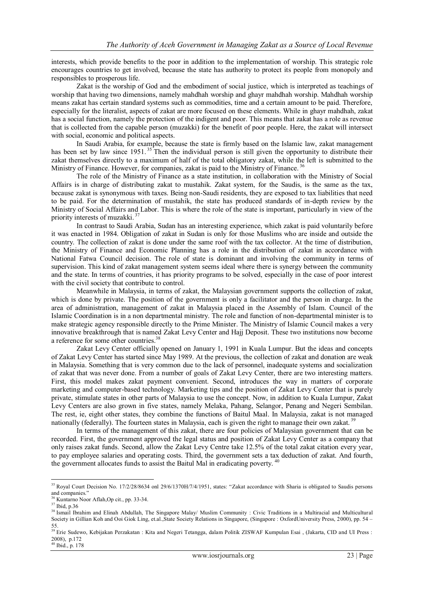interests, which provide benefits to the poor in addition to the implementation of worship. This strategic role encourages countries to get involved, because the state has authority to protect its people from monopoly and responsibles to prosperous life.

Zakat is the worship of God and the embodiment of social justice, which is interpreted as teachings of worship that having two dimensions, namely mahdhah worship and ghayr mahdhah worship. Mahdhah worship means zakat has certain standard systems such as commodities, time and a certain amount to be paid. Therefore, especially for the literalist, aspects of zakat are more focused on these elements. While in ghayr mahdhah, zakat has a social function, namely the protection of the indigent and poor. This means that zakat has a role as revenue that is collected from the capable person (muzakki) for the benefit of poor people. Here, the zakat will intersect with social, economic and political aspects.

In Saudi Arabia, for example, because the state is firmly based on the Islamic law, zakat management has been set by law since 1951.<sup>35</sup> Then the individual person is still given the opportunity to distribute their zakat themselves directly to a maximum of half of the total obligatory zakat, while the left is submitted to the Ministry of Finance. However, for companies, zakat is paid to the Ministry of Finance.<sup>36</sup>

The role of the Ministry of Finance as a state institution, in collaboration with the Ministry of Social Affairs is in charge of distributing zakat to mustahik. Zakat system, for the Saudis, is the same as the tax, because zakat is synonymous with taxes. Being non-Saudi residents, they are exposed to tax liabilities that need to be paid. For the determination of mustahik, the state has produced standards of in-depth review by the Ministry of Social Affairs and Labor. This is where the role of the state is important, particularly in view of the priority interests of muzakki.<sup>37</sup>

In contrast to Saudi Arabia, Sudan has an interesting experience, which zakat is paid voluntarily before it was enacted in 1984. Obligation of zakat in Sudan is only for those Muslims who are inside and outside the country. The collection of zakat is done under the same roof with the tax collector. At the time of distribution, the Ministry of Finance and Economic Planning has a role in the distribution of zakat in accordance with National Fatwa Council decision. The role of state is dominant and involving the community in terms of supervision. This kind of zakat management system seems ideal where there is synergy between the community and the state. In terms of countries, it has priority programs to be solved, especially in the case of poor interest with the civil society that contribute to control.

Meanwhile in Malaysia, in terms of zakat, the Malaysian government supports the collection of zakat, which is done by private. The position of the government is only a facilitator and the person in charge. In the area of administration, management of zakat in Malaysia placed in the Assembly of Islam. Council of the Islamic Coordination is in a non departmental ministry. The role and function of non-departmental minister is to make strategic agency responsible directly to the Prime Minister. The Ministry of Islamic Council makes a very innovative breakthrough that is named Zakat Levy Center and Hajj Deposit. These two institutions now become a reference for some other countries. 38

Zakat Levy Center officially opened on January 1, 1991 in Kuala Lumpur. But the ideas and concepts of Zakat Levy Center has started since May 1989. At the previous, the collection of zakat and donation are weak in Malaysia. Something that is very common due to the lack of personnel, inadequate systems and socialization of zakat that was never done. From a number of goals of Zakat Levy Center, there are two interesting matters. First, this model makes zakat payment convenient. Second, introduces the way in matters of corporate marketing and computer-based technology. Marketing tips and the position of Zakat Levy Center that is purely private, stimulate states in other parts of Malaysia to use the concept. Now, in addition to Kuala Lumpur, Zakat Levy Centers are also grown in five states, namely Melaka, Pahang, Selangor, Penang and Negeri Sembilan. The rest, ie, eight other states, they combine the functions of Baitul Maal. In Malaysia, zakat is not managed nationally (federally). The fourteen states in Malaysia, each is given the right to manage their own zakat.<sup>39</sup>

In terms of the management of this zakat, there are four policies of Malaysian government that can be recorded. First, the government approved the legal status and position of Zakat Levy Center as a company that only raises zakat funds. Second, allow the Zakat Levy Centre take 12.5% of the total zakat citation every year, to pay employee salaries and operating costs. Third, the government sets a tax deduction of zakat. And fourth, the government allocates funds to assist the Baitul Mal in eradicating poverty.<sup>40</sup>

1

<sup>&</sup>lt;sup>35</sup> Royal Court Decision No. 17/2/28/8634 onl 29/6/1370H/7/4/1951, states: "Zakat accordance with Sharia is obligated to Saudis persons and companies."

<sup>36</sup> Kuntarno Noor Aflah,Op cit., pp. 33-34.

<sup>37</sup> Ibid, p.36

<sup>&</sup>lt;sup>38</sup> Ismail Ibrahim and Elinah Abdullah, The Singapore Malay/ Muslim Community : Civic Traditions in a Multiracial and Multicultural Society in Gillian Koh and Ooi Giok Ling, et.al.,State Society Relations in Singapore, (Singapore : OxfordUniversity Press, 2000), pp. 54 –

<sup>55.</sup> <sup>39</sup> Erie Sudewo, Kebijakan Perzakatan : Kita and Negeri Tetangga, dalam Politik ZISWAF Kumpulan Esai , (Jakarta, CID and UI Press : 2008), p.172

Ibid., p. 178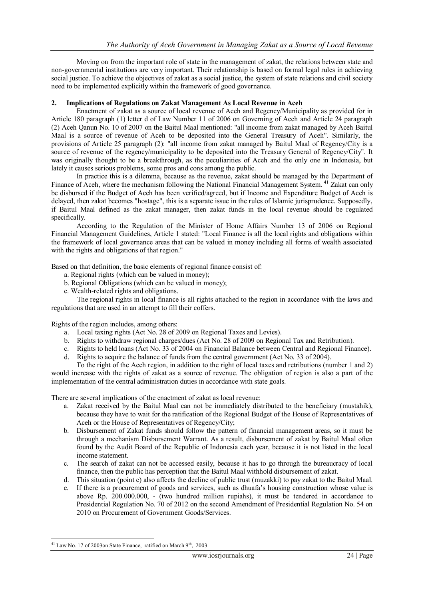Moving on from the important role of state in the management of zakat, the relations between state and non-governmental institutions are very important. Their relationship is based on formal legal rules in achieving social justice. To achieve the objectives of zakat as a social justice, the system of state relations and civil society need to be implemented explicitly within the framework of good governance.

## **2. Implications of Regulations on Zakat Management As Local Revenue in Aceh**

Enactment of zakat as a source of local revenue of Aceh and Regency/Municipality as provided for in Article 180 paragraph (1) letter d of Law Number 11 of 2006 on Governing of Aceh and Article 24 paragraph (2) Aceh Qanun No. 10 of 2007 on the Baitul Maal mentioned: "all income from zakat managed by Aceh Baitul Maal is a source of revenue of Aceh to be deposited into the General Treasury of Aceh". Similarly, the provisions of Article 25 paragraph (2): "all income from zakat managed by Baitul Maal of Regency/City is a source of revenue of the regency/municipality to be deposited into the Treasury General of Regency/City". It was originally thought to be a breakthrough, as the peculiarities of Aceh and the only one in Indonesia, but lately it causes serious problems, some pros and cons among the public.

In practice this is a dilemma, because as the revenue, zakat should be managed by the Department of Finance of Aceh, where the mechanism following the National Financial Management System.<sup>41</sup> Zakat can only be disbursed if the Budget of Aceh has been verified/agreed, but if Income and Expenditure Budget of Aceh is delayed, then zakat becomes "hostage", this is a separate issue in the rules of Islamic jurisprudence. Supposedly, if Baitul Maal defined as the zakat manager, then zakat funds in the local revenue should be regulated specifically.

According to the Regulation of the Minister of Home Affairs Number 13 of 2006 on Regional Financial Management Guidelines, Article 1 stated: "Local Finance is all the local rights and obligations within the framework of local governance areas that can be valued in money including all forms of wealth associated with the rights and obligations of that region."

Based on that definition, the basic elements of regional finance consist of:

- a. Regional rights (which can be valued in money);
- b. Regional Obligations (which can be valued in money);
- c. Wealth-related rights and obligations.

The regional rights in local finance is all rights attached to the region in accordance with the laws and regulations that are used in an attempt to fill their coffers.

Rights of the region includes, among others:

- a. Local taxing rights (Act No. 28 of 2009 on Regional Taxes and Levies).
- b. Rights to withdraw regional charges/dues (Act No. 28 of 2009 on Regional Tax and Retribution).
- c. Rights to held loans (Act No. 33 of 2004 on Financial Balance between Central and Regional Finance).
- d. Rights to acquire the balance of funds from the central government (Act No. 33 of 2004).

To the right of the Aceh region, in addition to the right of local taxes and retributions (number 1 and 2) would increase with the rights of zakat as a source of revenue. The obligation of region is also a part of the implementation of the central administration duties in accordance with state goals.

There are several implications of the enactment of zakat as local revenue:

- a. Zakat received by the Baitul Maal can not be immediately distributed to the beneficiary (mustahik), because they have to wait for the ratification of the Regional Budget of the House of Representatives of Aceh or the House of Representatives of Regency/City;
- b. Disbursement of Zakat funds should follow the pattern of financial management areas, so it must be through a mechanism Disbursement Warrant. As a result, disbursement of zakat by Baitul Maal often found by the Audit Board of the Republic of Indonesia each year, because it is not listed in the local income statement.
- c. The search of zakat can not be accessed easily, because it has to go through the bureaucracy of local finance, then the public has perception that the Baitul Maal withhold disbursement of zakat.
- d. This situation (point c) also affects the decline of public trust (muzakki) to pay zakat to the Baitul Maal.
- e. If there is a procurement of goods and services, such as dhuafa"s housing construction whose value is above Rp. 200.000.000, - (two hundred million rupiahs), it must be tendered in accordance to Presidential Regulation No. 70 of 2012 on the second Amendment of Presidential Regulation No. 54 on 2010 on Procurement of Government Goods/Services.

1

 $41$  Law No. 17 of 2003 on State Finance, ratified on March  $9<sup>th</sup>$ , 2003.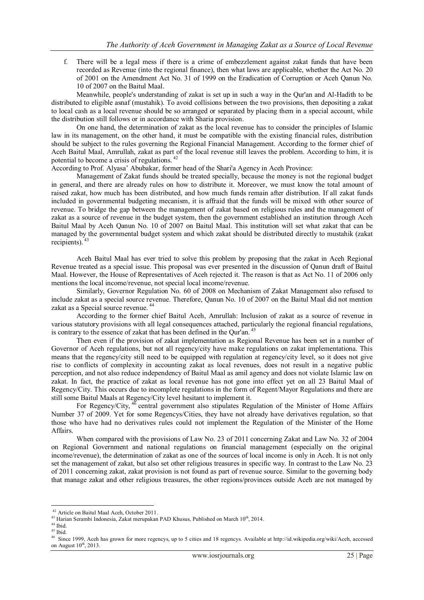f. There will be a legal mess if there is a crime of embezzlement against zakat funds that have been recorded as Revenue (into the regional finance), then what laws are applicable, whether the Act No. 20 of 2001 on the Amendment Act No. 31 of 1999 on the Eradication of Corruption or Aceh Qanun No. 10 of 2007 on the Baitul Maal.

Meanwhile, people's understanding of zakat is set up in such a way in the Qur'an and Al-Hadith to be distributed to eligible asnaf (mustahik). To avoid collisions between the two provisions, then depositing a zakat to local cash as a local revenue should be so arranged or separated by placing them in a special account, while the distribution still follows or in accordance with Sharia provision.

On one hand, the determination of zakat as the local revenue has to consider the principles of Islamic law in its management, on the other hand, it must be compatible with the existing financial rules, distribution should be subject to the rules governing the Regional Financial Management. According to the former chief of Aceh Baitul Maal, Amrullah, zakat as part of the local revenue still leaves the problem. According to him, it is potential to become a crisis of regulations.<sup>42</sup>

According to Prof. Alyasa" Abubakar, former head of the Shari'a Agency in Aceh Province:

Management of Zakat funds should be treated specially, because the money is not the regional budget in general, and there are already rules on how to distribute it. Moreover, we must know the total amount of raised zakat, how much has been distributed, and how much funds remain after distribution. If all zakat funds included in governmental budgeting mecanism, it is affraid that the funds will be mixed with other source of revenue. To bridge the gap between the management of zakat based on religious rules and the management of zakat as a source of revenue in the budget system, then the government established an institution through Aceh Baitul Maal by Aceh Qanun No. 10 of 2007 on Baitul Maal. This institution will set what zakat that can be managed by the governmental budget system and which zakat should be distributed directly to mustahik (zakat recipients). <sup>43</sup>

Aceh Baitul Maal has ever tried to solve this problem by proposing that the zakat in Aceh Regional Revenue treated as a special issue. This proposal was ever presented in the discussion of Qanun draft of Baitul Maal. However, the House of Representatives of Aceh rejected it. The reason is that as Act No. 11 of 2006 only mentions the local income/revenue, not special local income/revenue.

Similarly, Governor Regulation No. 60 of 2008 on Mechanism of Zakat Management also refused to include zakat as a special source revenue. Therefore, Qanun No. 10 of 2007 on the Baitul Maal did not mention zakat as a Special source revenue. <sup>44</sup>

According to the former chief Baitul Aceh, Amrullah: Inclusion of zakat as a source of revenue in various statutory provisions with all legal consequences attached, particularly the regional financial regulations, is contrary to the essence of zakat that has been defined in the Qur'an.<sup>45</sup>

Then even if the provision of zakat implementation as Regional Revenue has been set in a number of Governor of Aceh regulations, but not all regency/city have make regulations on zakat implementationa. This means that the regency/city still need to be equipped with regulation at regency/city level, so it does not give rise to conflicts of complexity in accounting zakat as local revenues, does not result in a negative public perception, and not also reduce independency of Baitul Maal as amil agency and does not violate Islamic law on zakat. In fact, the practice of zakat as local revenue has not gone into effect yet on all 23 Baitul Maal of Regency/City. This occurs due to incomplete regulations in the form of Regent/Mayor Regulations and there are still some Baitul Maals at Regency/City level hesitant to implement it.

For Regency/City,  $4\overline{6}$  central government also stipulates Regulation of the Minister of Home Affairs Number 37 of 2009. Yet for some Regencys/Cities, they have not already have derivatives regulation, so that those who have had no derivatives rules could not implement the Regulation of the Minister of the Home Affairs.

When compared with the provisions of Law No. 23 of 2011 concerning Zakat and Law No. 32 of 2004 on Regional Government and national regulations on financial management (especially on the original income/revenue), the determination of zakat as one of the sources of local income is only in Aceh. It is not only set the management of zakat, but also set other religious treasures in specific way. In contrast to the Law No. 23 of 2011 concerning zakat, zakat provision is not found as part of revenue source. Similar to the governing body that manage zakat and other religious treasures, the other regions/provinces outside Aceh are not managed by

<sup>1</sup> <sup>42</sup> Article on Baitul Maal Aceh, October 2011.

 $43$  Harian Serambi Indonesia, Zakat merupakan PAD Khusus, Published on March  $10<sup>th</sup>$ , 2014.

 $44$  Ibid.

 $45$  Ibid.

<sup>46</sup> Since 1999, Aceh has grown for more regencys, up to 5 cities and 18 regencys. Available at [http://id.wikipedia.org/wiki/Aceh,](http://id.wikipedia.org/wiki/Aceh) accessed on August  $10^{th}$ , 2013.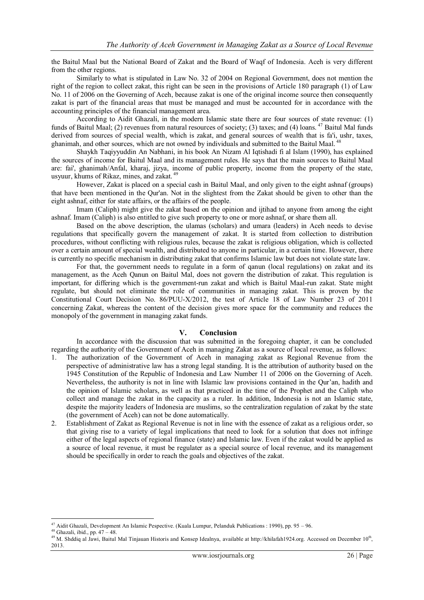the Baitul Maal but the National Board of Zakat and the Board of Waqf of Indonesia. Aceh is very different from the other regions.

Similarly to what is stipulated in Law No. 32 of 2004 on Regional Government, does not mention the right of the region to collect zakat, this right can be seen in the provisions of Article 180 paragraph (1) of Law No. 11 of 2006 on the Governing of Aceh, because zakat is one of the original income source then consequently zakat is part of the financial areas that must be managed and must be accounted for in accordance with the accounting principles of the financial management area.

According to Aidit Ghazali, in the modern Islamic state there are four sources of state revenue: (1) funds of Baitul Maal; (2) revenues from natural resources of society; (3) taxes; and (4) loans. <sup>47</sup> Baitul Mal funds derived from sources of special wealth, which is zakat, and general sources of wealth that is fa'i, ushr, taxes, ghanimah, and other sources, which are not owned by individuals and submitted to the Baitul Maal.<sup>48</sup>

Shaykh Taqiyyuddin An Nabhani, in his book An Nizam Al Iqtishadi fi al Islam (1990), has explained the sources of income for Baitul Maal and its management rules. He says that the main sources to Baitul Maal are: fai', ghanimah/Anfal, kharaj, jizya, income of public property, income from the property of the state, usyuur, khums of Rikaz, mines, and zakat. 49

However, Zakat is placed on a special cash in Baitul Maal, and only given to the eight ashnaf (groups) that have been mentioned in the Qur'an. Not in the slightest from the Zakat should be given to other than the eight ashnaf, either for state affairs, or the affairs of the people.

Imam (Caliph) might give the zakat based on the opinion and ijtihad to anyone from among the eight ashnaf. Imam (Caliph) is also entitled to give such property to one or more ashnaf, or share them all.

Based on the above description, the ulamas (scholars) and umara (leaders) in Aceh needs to devise regulations that specifically govern the management of zakat. It is started from collection to distribution procedures, without conflicting with religious rules, because the zakat is religious obligation, which is collected over a certain amount of special wealth, and distributed to anyone in particular, in a certain time. However, there is currently no specific mechanism in distributing zakat that confirms Islamic law but does not violate state law.

For that, the government needs to regulate in a form of qanun (local regulations) on zakat and its management, as the Aceh Qanun on Baitul Mal, does not govern the distribution of zakat. This regulation is important, for differing which is the government-run zakat and which is Baitul Maal-run zakat. State might regulate, but should not eliminate the role of communities in managing zakat. This is proven by the Constitutional Court Decision No. 86/PUU-X/2012, the test of Article 18 of Law Number 23 of 2011 concerning Zakat, whereas the content of the decision gives more space for the community and reduces the monopoly of the government in managing zakat funds.

#### **V. Conclusion**

In accordance with the discussion that was submitted in the foregoing chapter, it can be concluded regarding the authority of the Government of Aceh in managing Zakat as a source of local revenue, as follows:

- 1. The authorization of the Government of Aceh in managing zakat as Regional Revenue from the perspective of administrative law has a strong legal standing. It is the attribution of authority based on the 1945 Constitution of the Republic of Indonesia and Law Number 11 of 2006 on the Governing of Aceh. Nevertheless, the authority is not in line with Islamic law provisions contained in the Qur"an, hadith and the opinion of Islamic scholars, as well as that practiced in the time of the Prophet and the Caliph who collect and manage the zakat in the capacity as a ruler. In addition, Indonesia is not an Islamic state, despite the majority leaders of Indonesia are muslims, so the centralization regulation of zakat by the state (the government of Aceh) can not be done automatically.
- 2. Establishment of Zakat as Regional Revenue is not in line with the essence of zakat as a religious order, so that giving rise to a variety of legal implications that need to look for a solution that does not infringe either of the legal aspects of regional finance (state) and Islamic law. Even if the zakat would be applied as a source of local revenue, it must be regulater as a special source of local revenue, and its management should be specifically in order to reach the goals and objectives of the zakat.

<sup>&</sup>lt;sup>47</sup> Aidit Ghazali, Development An Islamic Pespective. (Kuala Lumpur, Pelanduk Publications : 1990), pp. 95 – 96.

 $48$  Ghazali, ibid., pp.  $47 - 48$ .

<sup>&</sup>lt;sup>49</sup> M. Shddiq al Jawi, Baitul Mal Tinjauan Historis and Konsep Idealnya, available at [http://khilafah1924.org.](http://khilafah1924.org/) Accessed on December  $10<sup>th</sup>$ , 2013.